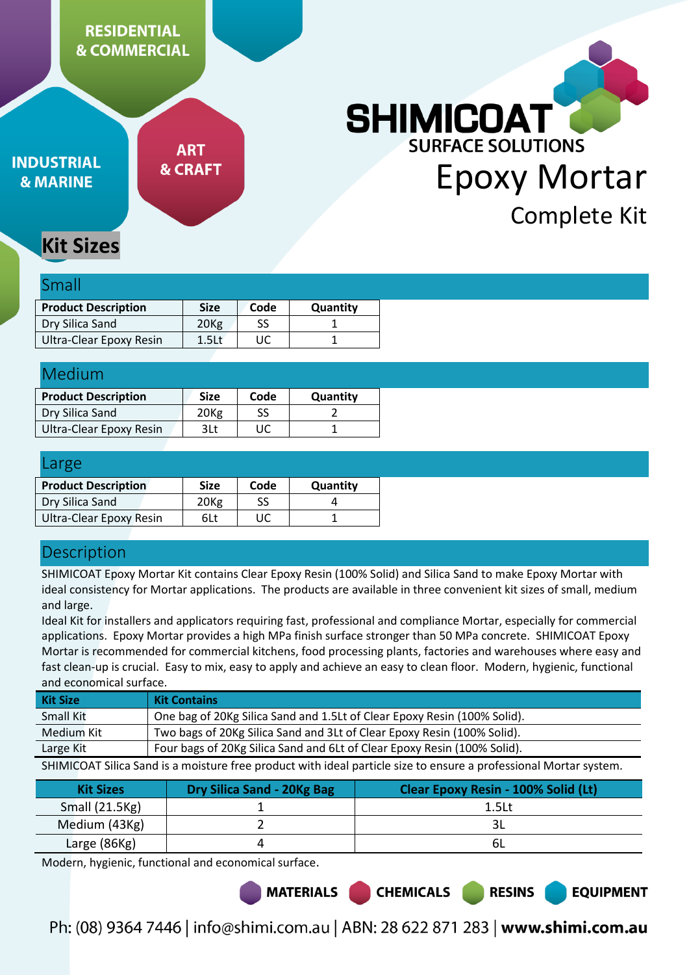# **RESIDENTIAL & COMMERCIAL**

**INDUSTRIAL & MARINE** 

**ART & CRAFT** 

# **SHIMICOAT SURFACE SOLUTIONS** Epoxy Mortar Complete Kit

# **Kit Sizes**

#### Small

| <b>Product Description</b> | <b>Size</b>       | Code | Quantity |
|----------------------------|-------------------|------|----------|
|                            |                   |      |          |
| Dry Silica Sand            | 20 <sub>Kg</sub>  | SS   |          |
| Ultra-Clear Epoxy Resin    | 1.5 <sub>kt</sub> | UC   |          |

| Medium                     |                  |      |          |  |
|----------------------------|------------------|------|----------|--|
| <b>Product Description</b> | <b>Size</b>      | Code | Quantity |  |
| Dry Silica Sand            | 20 <sub>Kg</sub> | SS   |          |  |
| Ultra-Clear Epoxy Resin    | 3Lt              | UC   |          |  |

| Large                          |                  |      |          |
|--------------------------------|------------------|------|----------|
| <b>Product Description</b>     | <b>Size</b>      | Code | Quantity |
| Dry Silica Sand                | 20 <sub>Kg</sub> | SS   |          |
| <b>Ultra-Clear Epoxy Resin</b> | 6Lt              | UC   |          |

# **Description**

SHIMICOAT Epoxy Mortar Kit contains Clear Epoxy Resin (100% Solid) and Silica Sand to make Epoxy Mortar with ideal consistency for Mortar applications. The products are available in three convenient kit sizes of small, medium and large.

Ideal Kit for installers and applicators requiring fast, professional and compliance Mortar, especially for commercial applications. Epoxy Mortar provides a high MPa finish surface stronger than 50 MPa concrete. SHIMICOAT Epoxy Mortar is recommended for commercial kitchens, food processing plants, factories and warehouses where easy and fast clean-up is crucial. Easy to mix, easy to apply and achieve an easy to clean floor. Modern, hygienic, functional and economical surface.

| <b>Kit Size</b>                                                                                                   | <b>Kit Contains</b>                                                      |  |
|-------------------------------------------------------------------------------------------------------------------|--------------------------------------------------------------------------|--|
| Small Kit                                                                                                         | One bag of 20Kg Silica Sand and 1.5Lt of Clear Epoxy Resin (100% Solid). |  |
| Medium Kit                                                                                                        | Two bags of 20Kg Silica Sand and 3Lt of Clear Epoxy Resin (100% Solid).  |  |
| Large Kit                                                                                                         | Four bags of 20Kg Silica Sand and 6Lt of Clear Epoxy Resin (100% Solid). |  |
| SHIMICOAT Silica Sand is a moisture free product with ideal particle size to ensure a professional Mortar system. |                                                                          |  |

| <b>Kit Sizes</b> | <b>Dry Silica Sand - 20Kg Bag</b> | <b>Clear Epoxy Resin - 100% Solid (Lt)</b> |
|------------------|-----------------------------------|--------------------------------------------|
| Small (21.5Kg)   |                                   | 1.5 <sub>kt</sub>                          |
| Medium (43Kg)    |                                   |                                            |
| Large $(86Kg)$   |                                   |                                            |

Modern, hygienic, functional and economical surface.

**MATERIALS** 

Ph: (08) 9364 7446 | info@shimi.com.au | ABN: 28 622 871 283 | www.shimi.com.au

**CHEMICALS** 

**RESINS** 

**EQUIPMENT**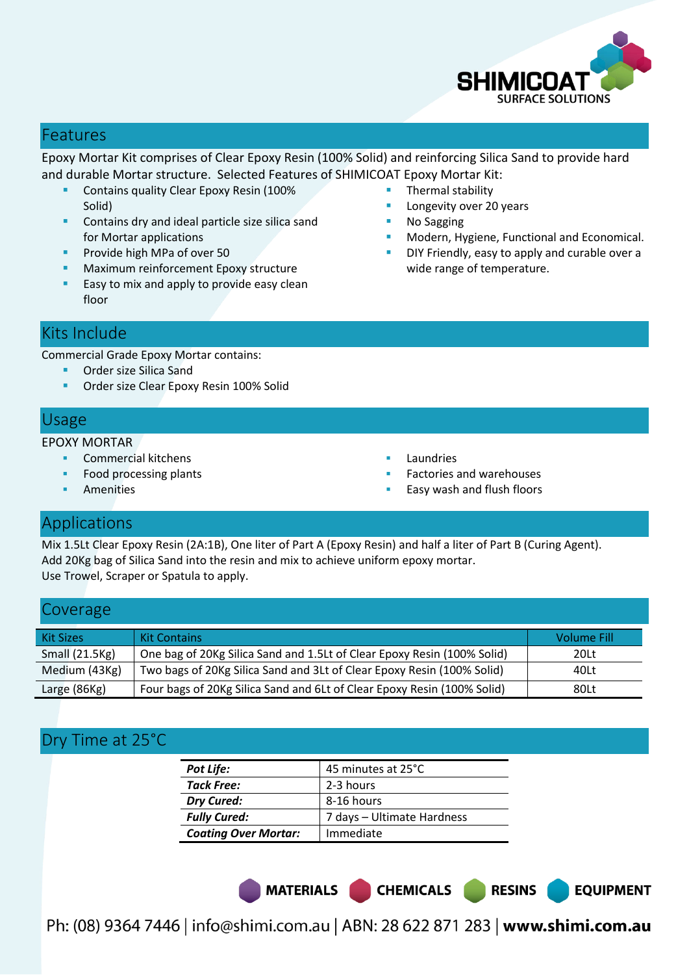

**EQUIPMENT** 

#### Features

Epoxy Mortar Kit comprises of Clear Epoxy Resin (100% Solid) and reinforcing Silica Sand to provide hard and durable Mortar structure. Selected Features of SHIMICOAT Epoxy Mortar Kit:

- **Contains quality Clear Epoxy Resin (100%** Solid)
- Contains dry and ideal particle size silica sand for Mortar applications
- Provide high MPa of over 50
- **Maximum reinforcement Epoxy structure**
- **Easy to mix and apply to provide easy clean** floor
- Thermal stability
- Longevity over 20 years
- No Sagging
- Modern, Hygiene, Functional and Economical.
- DIY Friendly, easy to apply and curable over a wide range of temperature.

#### Kits Include

Commercial Grade Epoxy Mortar contains:

- **Order size Silica Sand**
- **Order size Clear Epoxy Resin 100% Solid**

#### Usage

EPOXY MORTAR

- Commercial kitchens
- Food processing plants
- Amenities
- Laundries
- Factories and warehouses
- Easy wash and flush floors

#### Applications

Mix 1.5Lt Clear Epoxy Resin (2A:1B), One liter of Part A (Epoxy Resin) and half a liter of Part B (Curing Agent). Add 20Kg bag of Silica Sand into the resin and mix to achieve uniform epoxy mortar. Use Trowel, Scraper or Spatula to apply.

#### Coverage

| <b>Kit Sizes</b> | <b>Kit Contains</b>                                                     | <b>Volume Fill</b> |
|------------------|-------------------------------------------------------------------------|--------------------|
| Small $(21.5Kg)$ | One bag of 20Kg Silica Sand and 1.5Lt of Clear Epoxy Resin (100% Solid) | 20Lt               |
| Medium (43Kg)    | Two bags of 20Kg Silica Sand and 3Lt of Clear Epoxy Resin (100% Solid)  | 40Lt               |
| Large (86Kg)     | Four bags of 20Kg Silica Sand and 6Lt of Clear Epoxy Resin (100% Solid) | 80Lt               |

## Dry Time at 25°C

| <b>Pot Life:</b>            | 45 minutes at 25°C         |
|-----------------------------|----------------------------|
| <b>Tack Free:</b>           | 2-3 hours                  |
| Dry Cured:                  | 8-16 hours                 |
| <b>Fully Cured:</b>         | 7 days - Ultimate Hardness |
| <b>Coating Over Mortar:</b> | Immediate                  |

MATERIALS CHEMICALS RESINS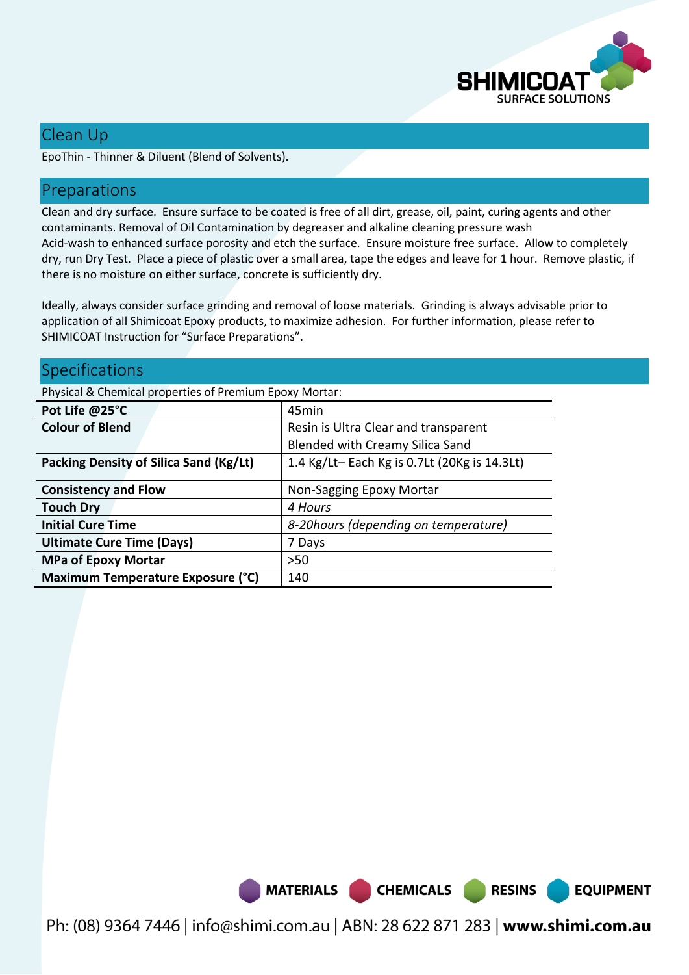

**EQUIPMENT** 

### Clean Up

EpoThin - Thinner & Diluent (Blend of Solvents).

#### Preparations

Clean and dry surface. Ensure surface to be coated is free of all dirt, grease, oil, paint, curing agents and other contaminants. Removal of Oil Contamination by degreaser and alkaline cleaning pressure wash Acid-wash to enhanced surface porosity and etch the surface. Ensure moisture free surface. Allow to completely dry, run Dry Test. Place a piece of plastic over a small area, tape the edges and leave for 1 hour. Remove plastic, if there is no moisture on either surface, concrete is sufficiently dry.

Ideally, always consider surface grinding and removal of loose materials. Grinding is always advisable prior to application of all Shimicoat Epoxy products, to maximize adhesion. For further information, please refer to SHIMICOAT Instruction for "Surface Preparations".

| Specifications                                          |                                             |
|---------------------------------------------------------|---------------------------------------------|
| Physical & Chemical properties of Premium Epoxy Mortar: |                                             |
| Pot Life @25°C                                          | 45 <sub>min</sub>                           |
| <b>Colour of Blend</b>                                  | Resin is Ultra Clear and transparent        |
|                                                         | Blended with Creamy Silica Sand             |
| <b>Packing Density of Silica Sand (Kg/Lt)</b>           | 1.4 Kg/Lt-Each Kg is 0.7Lt (20Kg is 14.3Lt) |
| <b>Consistency and Flow</b>                             | Non-Sagging Epoxy Mortar                    |
| <b>Touch Dry</b>                                        | 4 Hours                                     |
| <b>Initial Cure Time</b>                                | 8-20 hours (depending on temperature)       |
| <b>Ultimate Cure Time (Days)</b>                        | 7 Days                                      |
| <b>MPa of Epoxy Mortar</b>                              | $>50$                                       |
| Maximum Temperature Exposure (°C)                       | 140                                         |

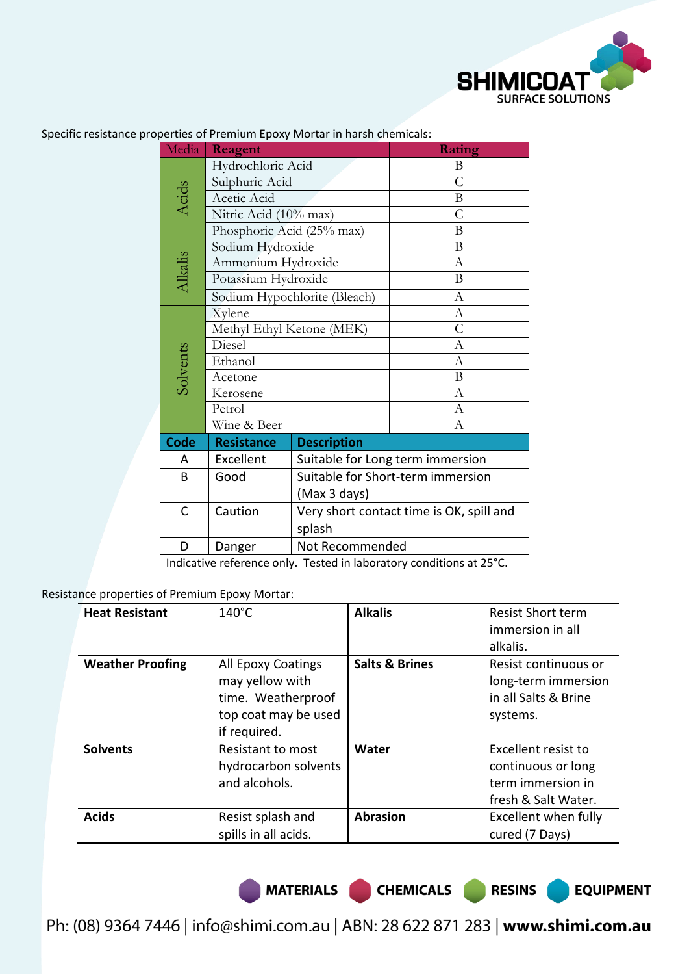

| Media    | Reagent                                                             |                                          | <b>Rating</b>  |  |
|----------|---------------------------------------------------------------------|------------------------------------------|----------------|--|
|          | Hydrochloric Acid                                                   |                                          | B              |  |
|          | Sulphuric Acid                                                      |                                          | $\overline{C}$ |  |
| Acids    | Acetic Acid                                                         |                                          | $\bf{B}$       |  |
|          | Nitric Acid (10% max)                                               |                                          | $\overline{C}$ |  |
|          | Phosphoric Acid (25% max)                                           |                                          | B              |  |
|          | Sodium Hydroxide                                                    |                                          | B              |  |
|          | Ammonium Hydroxide                                                  |                                          | $\mathbf{A}$   |  |
| Alkalis  | Potassium Hydroxide                                                 |                                          | $\mathbf{B}$   |  |
|          |                                                                     | Sodium Hypochlorite (Bleach)             | A              |  |
|          | Xylene                                                              |                                          | $\mathbf{A}$   |  |
|          | Methyl Ethyl Ketone (MEK)                                           |                                          | $\overline{C}$ |  |
|          | Diesel                                                              |                                          | $\mathbf{A}$   |  |
| Solvents | Ethanol                                                             |                                          | $\mathbf{A}$   |  |
|          | Acetone                                                             |                                          | B              |  |
|          | Kerosene                                                            |                                          | $\mathbf{A}$   |  |
|          | Petrol                                                              |                                          | $\mathbf{A}$   |  |
|          | Wine & Beer                                                         |                                          | A              |  |
| Code     | <b>Resistance</b>                                                   | <b>Description</b>                       |                |  |
| А        | Excellent                                                           | Suitable for Long term immersion         |                |  |
| B        | Good                                                                | Suitable for Short-term immersion        |                |  |
|          |                                                                     | (Max 3 days)                             |                |  |
| C        | Caution                                                             | Very short contact time is OK, spill and |                |  |
|          |                                                                     | splash                                   |                |  |
| D        | Danger                                                              | Not Recommended                          |                |  |
|          | Indicative reference only. Tested in laboratory conditions at 25°C. |                                          |                |  |

Specific resistance properties of Premium Epoxy Mortar in harsh chemicals:

Resistance properties of Premium Epoxy Mortar:

| <b>Heat Resistant</b>   | $140^{\circ}$ C                                                                                     | <b>Alkalis</b>            | <b>Resist Short term</b><br>immersion in all<br>alkalis.                              |
|-------------------------|-----------------------------------------------------------------------------------------------------|---------------------------|---------------------------------------------------------------------------------------|
| <b>Weather Proofing</b> | All Epoxy Coatings<br>may yellow with<br>time. Weatherproof<br>top coat may be used<br>if required. | <b>Salts &amp; Brines</b> | Resist continuous or<br>long-term immersion<br>in all Salts & Brine<br>systems.       |
| <b>Solvents</b>         | Resistant to most<br>hydrocarbon solvents<br>and alcohols.                                          | Water                     | Excellent resist to<br>continuous or long<br>term immersion in<br>fresh & Salt Water. |
| <b>Acids</b>            | Resist splash and<br>spills in all acids.                                                           | <b>Abrasion</b>           | Excellent when fully<br>cured (7 Days)                                                |

MATERIALS CHEMICALS RESINS

**EQUIPMENT**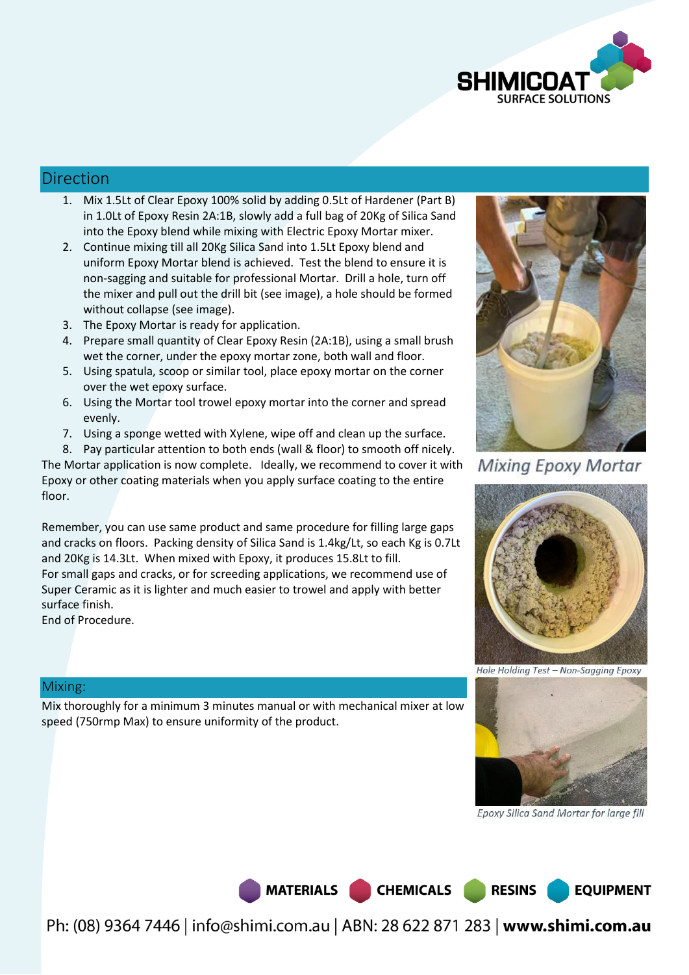

#### Direction

- 1. Mix 1.5Lt of Clear Epoxy 100% solid by adding 0.5Lt of Hardener (Part B) in 1.0Lt of Epoxy Resin 2A:1B, slowly add a full bag of 20Kg of Silica Sand into the Epoxy blend while mixing with Electric Epoxy Mortar mixer.
- 2. Continue mixing till all 20Kg Silica Sand into 1.5Lt Epoxy blend and uniform Epoxy Mortar blend is achieved. Test the blend to ensure it is non-sagging and suitable for professional Mortar. Drill a hole, turn off the mixer and pull out the drill bit (see image), a hole should be formed without collapse (see image).
- 3. The Epoxy Mortar is ready for application.
- 4. Prepare small quantity of Clear Epoxy Resin (2A:1B), using a small brush wet the corner, under the epoxy mortar zone, both wall and floor.
- 5. Using spatula, scoop or similar tool, place epoxy mortar on the corner over the wet epoxy surface.
- 6. Using the Mortar tool trowel epoxy mortar into the corner and spread evenly.
- 7. Using a sponge wetted with Xylene, wipe off and clean up the surface.

8. Pay particular attention to both ends (wall & floor) to smooth off nicely.

The Mortar application is now complete. Ideally, we recommend to cover it with Epoxy or other coating materials when you apply surface coating to the entire floor.

Remember, you can use same product and same procedure for filling large gaps and cracks on floors. Packing density of Silica Sand is 1.4kg/Lt, so each Kg is 0.7Lt and 20Kg is 14.3Lt. When mixed with Epoxy, it produces 15.8Lt to fill. For small gaps and cracks, or for screeding applications, we recommend use of Super Ceramic as it is lighter and much easier to trowel and apply with better surface finish.

End of Procedure.



**Mixing Epoxy Mortar** 



Hole Holding Test - Non-Sagging Epoxy



Epoxy Silica Sand Mortar for large fill

**EQUIPMENT** 

Mix thoroughly for a minimum 3 minutes manual or with mechanical mixer at low speed (750rmp Max) to ensure uniformity of the product.

Mixing:

MATERIALS CHEMICALS RESINS